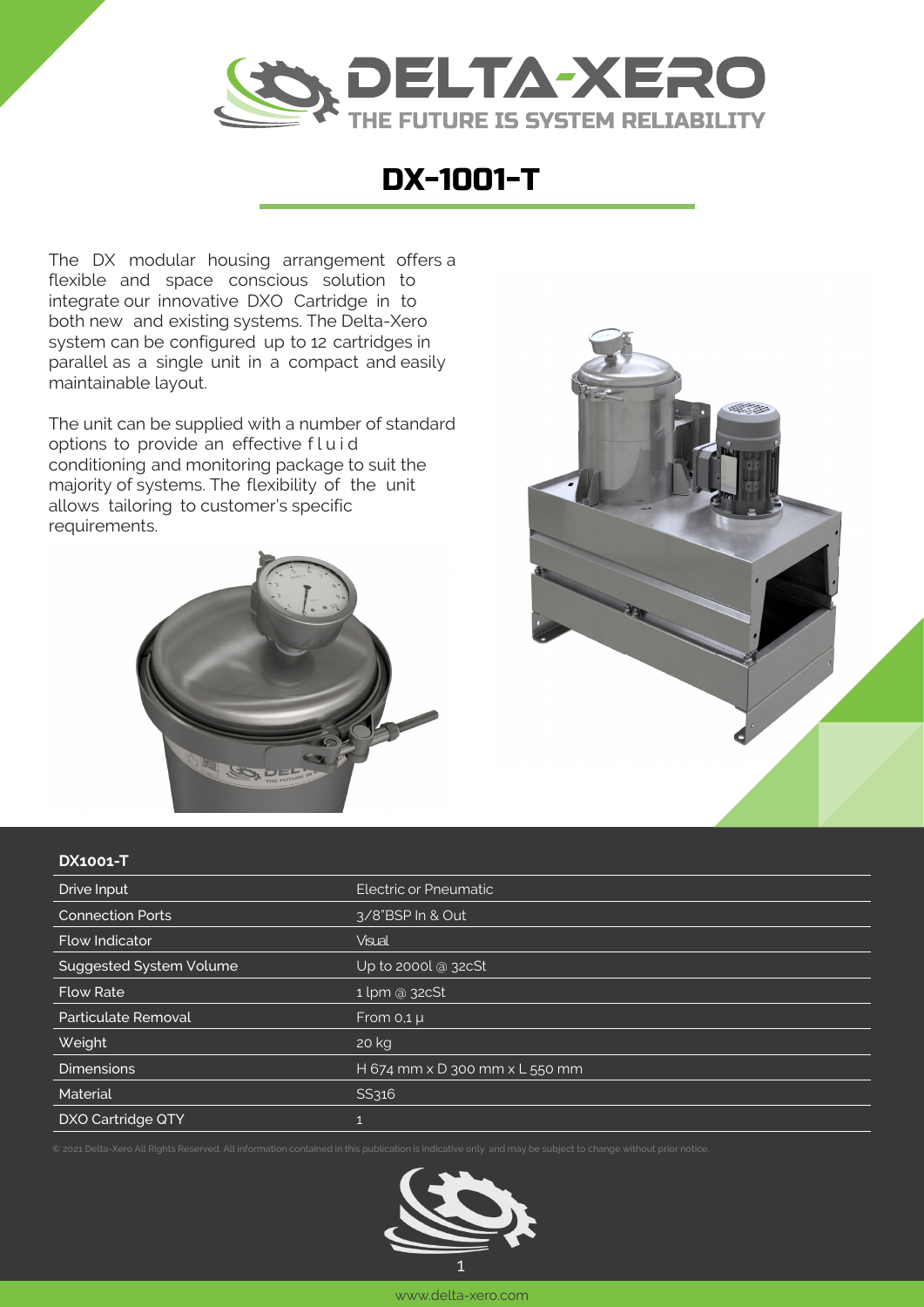

## DX-1001-T

The DX modular housing arrangement offers a flexible and space conscious solution to integrate our innovative DXO Cartridge in to both new and existing systems. The Delta-Xero system can be configured up to 12 cartridges in parallel as a single unit in a compact and easily maintainable layout.

The unit can be supplied with a number of standard options to provide an effective fluid conditioning and monitoring package to suit the majority of systems. The flexibility of the unit allows tailoring to customer's specific requirements.





## **DX1001-T**

| Drive Input                    | Electric or Pneumatic          |
|--------------------------------|--------------------------------|
| <b>Connection Ports</b>        | 3/8"BSP In & Out               |
| <b>Flow Indicator</b>          | <b>Visual</b>                  |
| <b>Suggested System Volume</b> | Up to 2000l @ 32cSt            |
| <b>Flow Rate</b>               | $1 \,\mathrm{lpm}$ @ 32cSt     |
| Particulate Removal            | From $0,1 \mu$                 |
| Weight                         | 20 kg                          |
| <b>Dimensions</b>              | H 674 mm x D 300 mm x L 550 mm |
| Material                       | SS316                          |
| <b>DXO Cartridge QTY</b>       |                                |